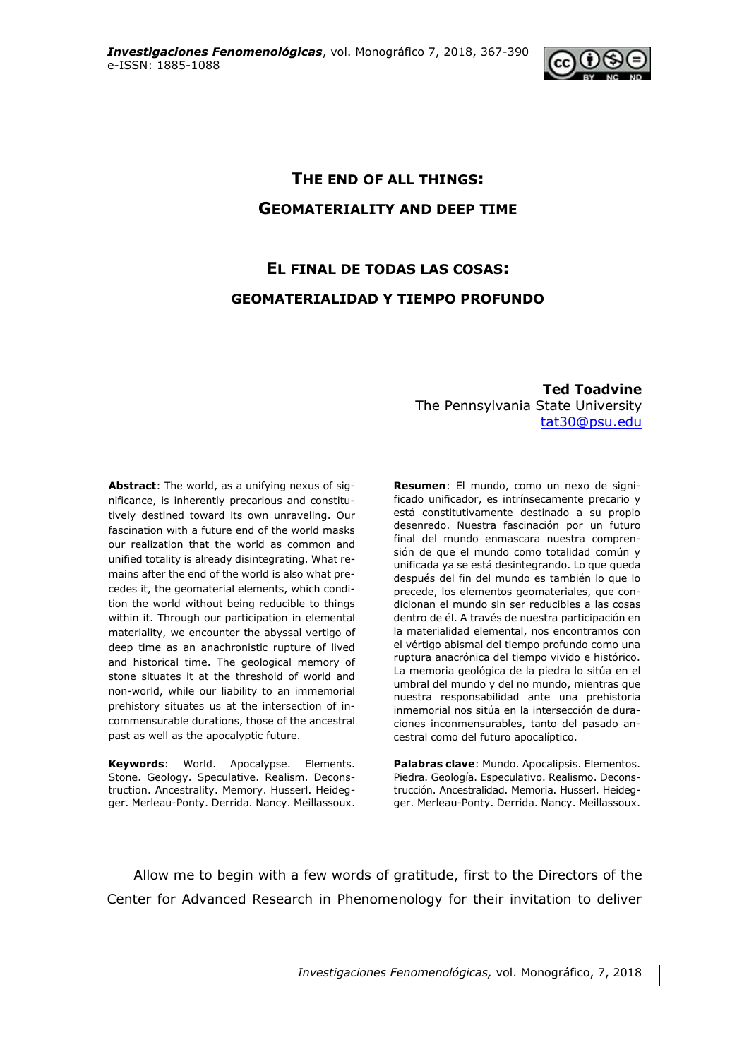

# **THE END OF ALL THINGS: GEOMATERIALITY AND DEEP TIME**

# **EL FINAL DE TODAS LAS COSAS: GEOMATERIALIDAD Y TIEMPO PROFUNDO**

**Ted Toadvine**  The Pennsylvania State University [tat30@psu.edu](mailto:tat30@psu.edu)

**Abstract**: The world, as a unifying nexus of significance, is inherently precarious and constitutively destined toward its own unraveling. Our fascination with a future end of the world masks our realization that the world as common and unified totality is already disintegrating. What remains after the end of the world is also what precedes it, the geomaterial elements, which condition the world without being reducible to things within it. Through our participation in elemental materiality, we encounter the abyssal vertigo of deep time as an anachronistic rupture of lived and historical time. The geological memory of stone situates it at the threshold of world and non-world, while our liability to an immemorial prehistory situates us at the intersection of incommensurable durations, those of the ancestral past as well as the apocalyptic future.

**Keywords**: World. Apocalypse. Elements. Stone. Geology. Speculative. Realism. Deconstruction. Ancestrality. Memory. Husserl. Heidegger. Merleau-Ponty. Derrida. Nancy. Meillassoux.

**Resumen**: El mundo, como un nexo de significado unificador, es intrínsecamente precario y está constitutivamente destinado a su propio desenredo. Nuestra fascinación por un futuro final del mundo enmascara nuestra comprensión de que el mundo como totalidad común y unificada ya se está desintegrando. Lo que queda después del fin del mundo es también lo que lo precede, los elementos geomateriales, que condicionan el mundo sin ser reducibles a las cosas dentro de él. A través de nuestra participación en la materialidad elemental, nos encontramos con el vértigo abismal del tiempo profundo como una ruptura anacrónica del tiempo vivido e histórico. La memoria geológica de la piedra lo sitúa en el umbral del mundo y del no mundo, mientras que nuestra responsabilidad ante una prehistoria inmemorial nos sitúa en la intersección de duraciones inconmensurables, tanto del pasado ancestral como del futuro apocalíptico.

**Palabras clave**: Mundo. Apocalipsis. Elementos. Piedra. Geología. Especulativo. Realismo. Deconstrucción. Ancestralidad. Memoria. Husserl. Heidegger. Merleau-Ponty. Derrida. Nancy. Meillassoux.

Allow me to begin with a few words of gratitude, first to the Directors of the Center for Advanced Research in Phenomenology for their invitation to deliver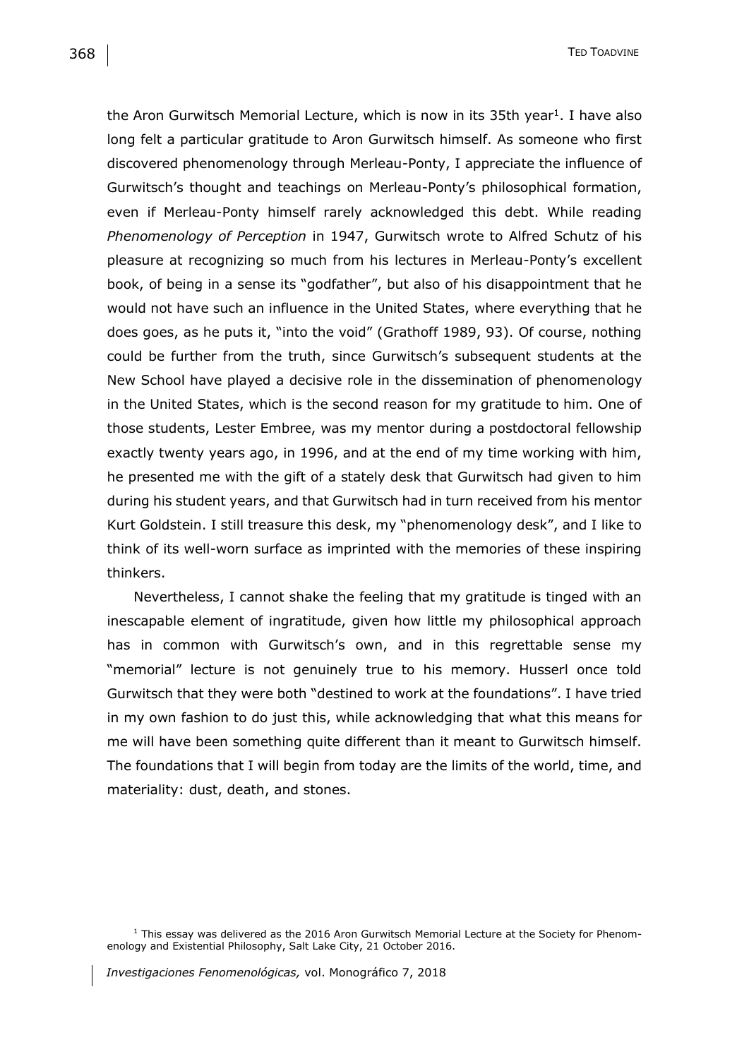the Aron Gurwitsch Memorial Lecture, which is now in its 35th year<sup>1</sup>. I have also long felt a particular gratitude to Aron Gurwitsch himself. As someone who first discovered phenomenology through Merleau-Ponty, I appreciate the influence of Gurwitsch's thought and teachings on Merleau-Ponty's philosophical formation, even if Merleau-Ponty himself rarely acknowledged this debt. While reading *Phenomenology of Perception* in 1947, Gurwitsch wrote to Alfred Schutz of his pleasure at recognizing so much from his lectures in Merleau-Ponty's excellent book, of being in a sense its "godfather", but also of his disappointment that he would not have such an influence in the United States, where everything that he does goes, as he puts it, "into the void" (Grathoff 1989, 93). Of course, nothing could be further from the truth, since Gurwitsch's subsequent students at the New School have played a decisive role in the dissemination of phenomenology in the United States, which is the second reason for my gratitude to him. One of those students, Lester Embree, was my mentor during a postdoctoral fellowship exactly twenty years ago, in 1996, and at the end of my time working with him, he presented me with the gift of a stately desk that Gurwitsch had given to him during his student years, and that Gurwitsch had in turn received from his mentor Kurt Goldstein. I still treasure this desk, my "phenomenology desk", and I like to think of its well-worn surface as imprinted with the memories of these inspiring thinkers.

Nevertheless, I cannot shake the feeling that my gratitude is tinged with an inescapable element of ingratitude, given how little my philosophical approach has in common with Gurwitsch's own, and in this regrettable sense my "memorial" lecture is not genuinely true to his memory. Husserl once told Gurwitsch that they were both "destined to work at the foundations". I have tried in my own fashion to do just this, while acknowledging that what this means for me will have been something quite different than it meant to Gurwitsch himself. The foundations that I will begin from today are the limits of the world, time, and materiality: dust, death, and stones.

 $1$  This essay was delivered as the 2016 Aron Gurwitsch Memorial Lecture at the Society for Phenomenology and Existential Philosophy, Salt Lake City, 21 October 2016.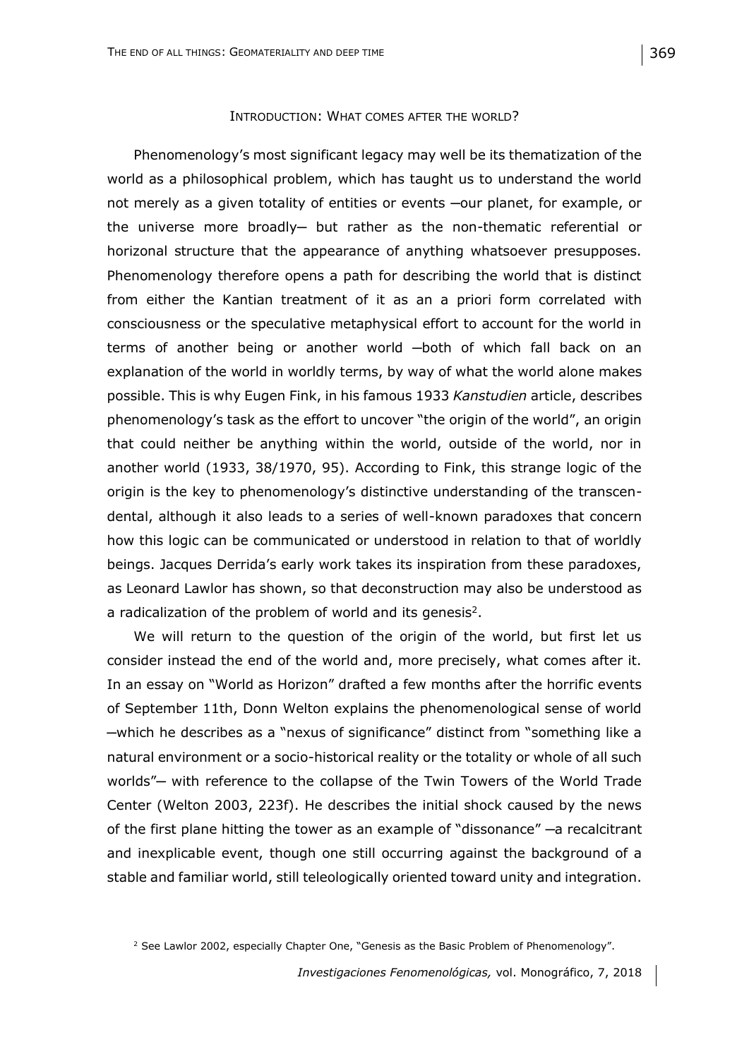#### INTRODUCTION: WHAT COMES AFTER THE WORLD?

Phenomenology's most significant legacy may well be its thematization of the world as a philosophical problem, which has taught us to understand the world not merely as a given totality of entities or events ─our planet, for example, or the universe more broadly- but rather as the non-thematic referential or horizonal structure that the appearance of anything whatsoever presupposes. Phenomenology therefore opens a path for describing the world that is distinct from either the Kantian treatment of it as an a priori form correlated with consciousness or the speculative metaphysical effort to account for the world in terms of another being or another world ─both of which fall back on an explanation of the world in worldly terms, by way of what the world alone makes possible. This is why Eugen Fink, in his famous 1933 *Kanstudien* article, describes phenomenology's task as the effort to uncover "the origin of the world", an origin that could neither be anything within the world, outside of the world, nor in another world (1933, 38/1970, 95). According to Fink, this strange logic of the origin is the key to phenomenology's distinctive understanding of the transcendental, although it also leads to a series of well-known paradoxes that concern how this logic can be communicated or understood in relation to that of worldly beings. Jacques Derrida's early work takes its inspiration from these paradoxes, as Leonard Lawlor has shown, so that deconstruction may also be understood as a radicalization of the problem of world and its genesis<sup>2</sup>.

We will return to the question of the origin of the world, but first let us consider instead the end of the world and, more precisely, what comes after it. In an essay on "World as Horizon" drafted a few months after the horrific events of September 11th, Donn Welton explains the phenomenological sense of world ─which he describes as a "nexus of significance" distinct from "something like a natural environment or a socio-historical reality or the totality or whole of all such worlds" — with reference to the collapse of the Twin Towers of the World Trade Center (Welton 2003, 223f). He describes the initial shock caused by the news of the first plane hitting the tower as an example of "dissonance" ─a recalcitrant and inexplicable event, though one still occurring against the background of a stable and familiar world, still teleologically oriented toward unity and integration.

<sup>&</sup>lt;sup>2</sup> See Lawlor 2002, especially Chapter One, "Genesis as the Basic Problem of Phenomenology".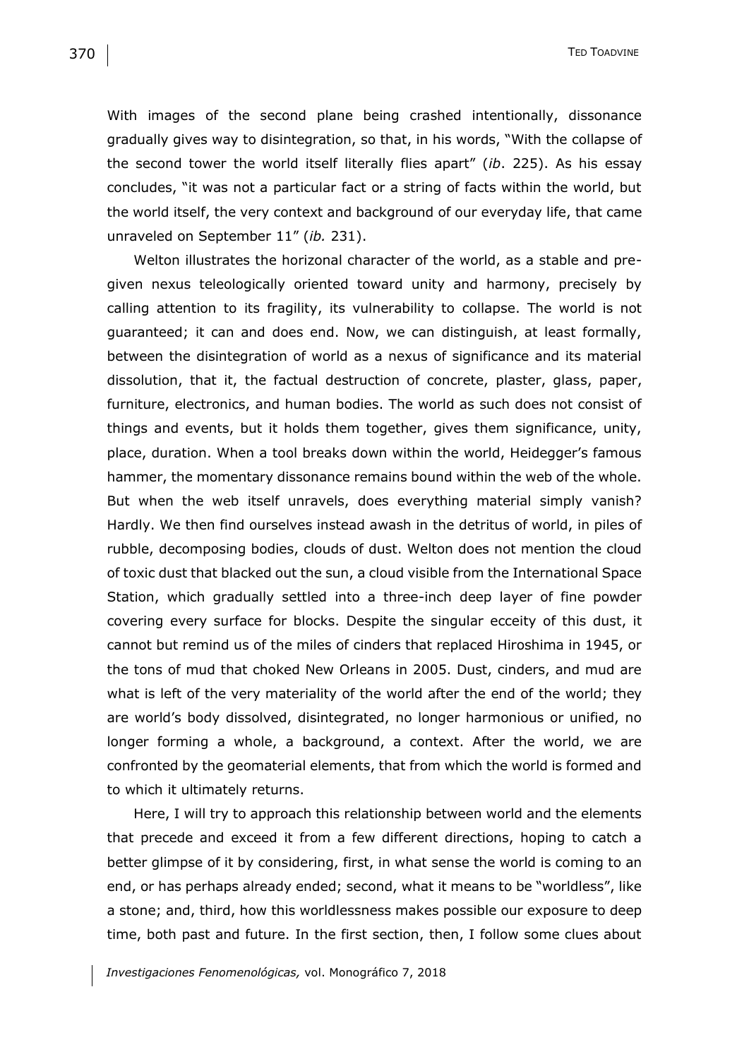With images of the second plane being crashed intentionally, dissonance gradually gives way to disintegration, so that, in his words, "With the collapse of the second tower the world itself literally flies apart" (*ib*. 225). As his essay concludes, "it was not a particular fact or a string of facts within the world, but the world itself, the very context and background of our everyday life, that came unraveled on September 11" (*ib.* 231).

Welton illustrates the horizonal character of the world, as a stable and pregiven nexus teleologically oriented toward unity and harmony, precisely by calling attention to its fragility, its vulnerability to collapse. The world is not guaranteed; it can and does end. Now, we can distinguish, at least formally, between the disintegration of world as a nexus of significance and its material dissolution, that it, the factual destruction of concrete, plaster, glass, paper, furniture, electronics, and human bodies. The world as such does not consist of things and events, but it holds them together, gives them significance, unity, place, duration. When a tool breaks down within the world, Heidegger's famous hammer, the momentary dissonance remains bound within the web of the whole. But when the web itself unravels, does everything material simply vanish? Hardly. We then find ourselves instead awash in the detritus of world, in piles of rubble, decomposing bodies, clouds of dust. Welton does not mention the cloud of toxic dust that blacked out the sun, a cloud visible from the International Space Station, which gradually settled into a three-inch deep layer of fine powder covering every surface for blocks. Despite the singular ecceity of this dust, it cannot but remind us of the miles of cinders that replaced Hiroshima in 1945, or the tons of mud that choked New Orleans in 2005. Dust, cinders, and mud are what is left of the very materiality of the world after the end of the world; they are world's body dissolved, disintegrated, no longer harmonious or unified, no longer forming a whole, a background, a context. After the world, we are confronted by the geomaterial elements, that from which the world is formed and to which it ultimately returns.

Here, I will try to approach this relationship between world and the elements that precede and exceed it from a few different directions, hoping to catch a better glimpse of it by considering, first, in what sense the world is coming to an end, or has perhaps already ended; second, what it means to be "worldless", like a stone; and, third, how this worldlessness makes possible our exposure to deep time, both past and future. In the first section, then, I follow some clues about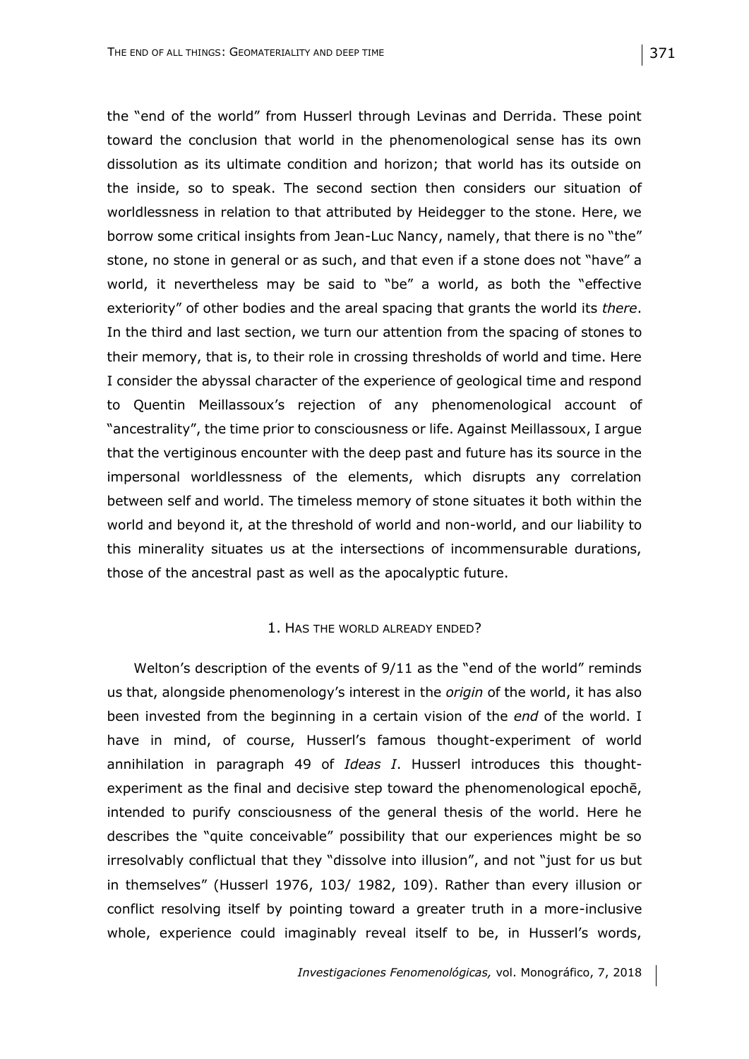the "end of the world" from Husserl through Levinas and Derrida. These point toward the conclusion that world in the phenomenological sense has its own dissolution as its ultimate condition and horizon; that world has its outside on the inside, so to speak. The second section then considers our situation of worldlessness in relation to that attributed by Heidegger to the stone. Here, we borrow some critical insights from Jean-Luc Nancy, namely, that there is no "the" stone, no stone in general or as such, and that even if a stone does not "have" a world, it nevertheless may be said to "be" a world, as both the "effective exteriority" of other bodies and the areal spacing that grants the world its *there*. In the third and last section, we turn our attention from the spacing of stones to their memory, that is, to their role in crossing thresholds of world and time. Here I consider the abyssal character of the experience of geological time and respond to Quentin Meillassoux's rejection of any phenomenological account of "ancestrality", the time prior to consciousness or life. Against Meillassoux, I argue that the vertiginous encounter with the deep past and future has its source in the impersonal worldlessness of the elements, which disrupts any correlation between self and world. The timeless memory of stone situates it both within the world and beyond it, at the threshold of world and non-world, and our liability to this minerality situates us at the intersections of incommensurable durations, those of the ancestral past as well as the apocalyptic future.

### 1. HAS THE WORLD ALREADY ENDED?

Welton's description of the events of 9/11 as the "end of the world" reminds us that, alongside phenomenology's interest in the *origin* of the world, it has also been invested from the beginning in a certain vision of the *end* of the world. I have in mind, of course, Husserl's famous thought-experiment of world annihilation in paragraph 49 of *Ideas I*. Husserl introduces this thoughtexperiment as the final and decisive step toward the phenomenological epochē, intended to purify consciousness of the general thesis of the world. Here he describes the "quite conceivable" possibility that our experiences might be so irresolvably conflictual that they "dissolve into illusion", and not "just for us but in themselves" (Husserl 1976, 103/ 1982, 109). Rather than every illusion or conflict resolving itself by pointing toward a greater truth in a more-inclusive whole, experience could imaginably reveal itself to be, in Husserl's words,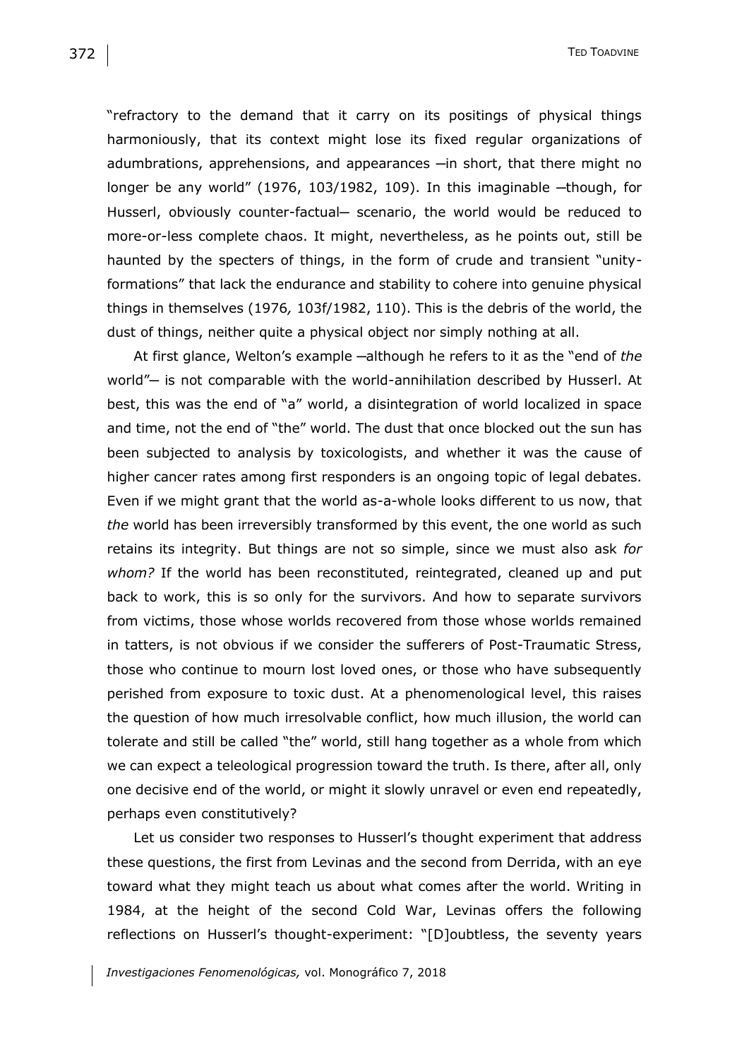"refractory to the demand that it carry on its positings of physical things harmoniously, that its context might lose its fixed regular organizations of adumbrations, apprehensions, and appearances —in short, that there might no longer be any world" (1976, 103/1982, 109). In this imaginable ─though, for Husserl, obviously counter-factual- scenario, the world would be reduced to more-or-less complete chaos. It might, nevertheless, as he points out, still be haunted by the specters of things, in the form of crude and transient "unityformations" that lack the endurance and stability to cohere into genuine physical things in themselves (1976*,* 103f/1982, 110). This is the debris of the world, the dust of things, neither quite a physical object nor simply nothing at all.

At first glance, Welton's example ─although he refers to it as the "end of *the* world"— is not comparable with the world-annihilation described by Husserl. At best, this was the end of "a" world, a disintegration of world localized in space and time, not the end of "the" world. The dust that once blocked out the sun has been subjected to analysis by toxicologists, and whether it was the cause of higher cancer rates among first responders is an ongoing topic of legal debates. Even if we might grant that the world as-a-whole looks different to us now, that *the* world has been irreversibly transformed by this event, the one world as such retains its integrity. But things are not so simple, since we must also ask *for whom?* If the world has been reconstituted, reintegrated, cleaned up and put back to work, this is so only for the survivors. And how to separate survivors from victims, those whose worlds recovered from those whose worlds remained in tatters, is not obvious if we consider the sufferers of Post-Traumatic Stress, those who continue to mourn lost loved ones, or those who have subsequently perished from exposure to toxic dust. At a phenomenological level, this raises the question of how much irresolvable conflict, how much illusion, the world can tolerate and still be called "the" world, still hang together as a whole from which we can expect a teleological progression toward the truth. Is there, after all, only one decisive end of the world, or might it slowly unravel or even end repeatedly, perhaps even constitutively?

Let us consider two responses to Husserl's thought experiment that address these questions, the first from Levinas and the second from Derrida, with an eye toward what they might teach us about what comes after the world. Writing in 1984, at the height of the second Cold War, Levinas offers the following reflections on Husserl's thought-experiment: "[D]oubtless, the seventy years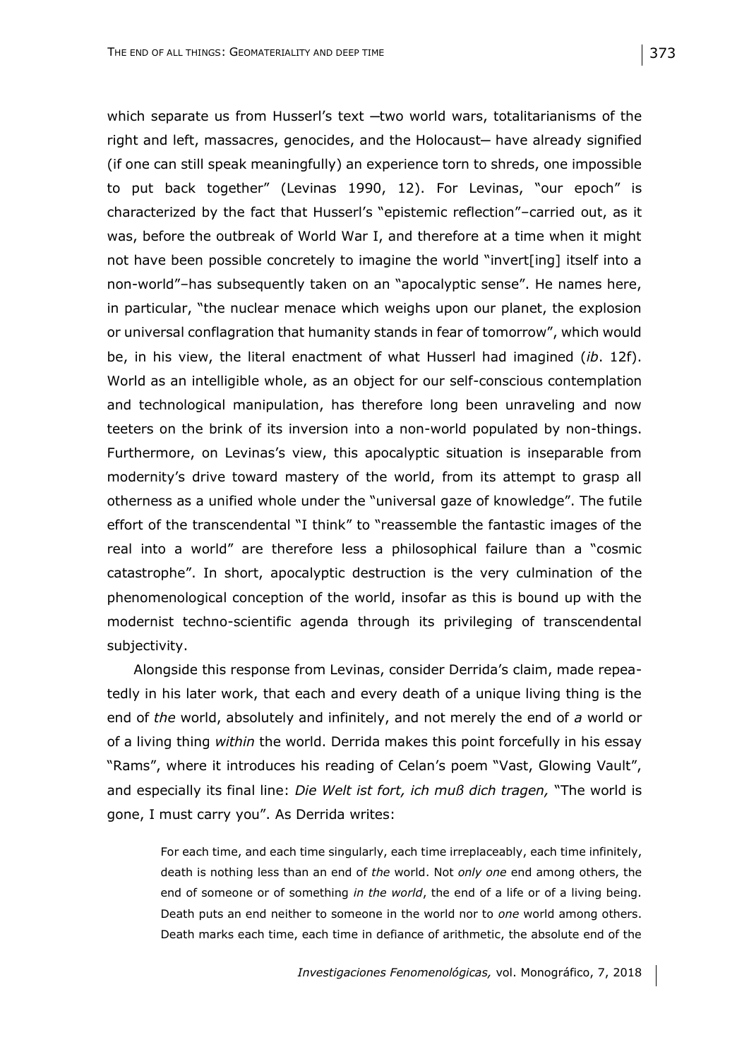which separate us from Husserl's text -two world wars, totalitarianisms of the right and left, massacres, genocides, and the Holocaust- have already signified (if one can still speak meaningfully) an experience torn to shreds, one impossible to put back together" (Levinas 1990, 12). For Levinas, "our epoch" is characterized by the fact that Husserl's "epistemic reflection"–carried out, as it was, before the outbreak of World War I, and therefore at a time when it might not have been possible concretely to imagine the world "invert[ing] itself into a non-world"–has subsequently taken on an "apocalyptic sense". He names here, in particular, "the nuclear menace which weighs upon our planet, the explosion or universal conflagration that humanity stands in fear of tomorrow", which would be, in his view, the literal enactment of what Husserl had imagined (*ib*. 12f). World as an intelligible whole, as an object for our self-conscious contemplation and technological manipulation, has therefore long been unraveling and now teeters on the brink of its inversion into a non-world populated by non-things. Furthermore, on Levinas's view, this apocalyptic situation is inseparable from modernity's drive toward mastery of the world, from its attempt to grasp all otherness as a unified whole under the "universal gaze of knowledge". The futile effort of the transcendental "I think" to "reassemble the fantastic images of the real into a world" are therefore less a philosophical failure than a "cosmic catastrophe". In short, apocalyptic destruction is the very culmination of the phenomenological conception of the world, insofar as this is bound up with the modernist techno-scientific agenda through its privileging of transcendental subjectivity.

Alongside this response from Levinas, consider Derrida's claim, made repeatedly in his later work, that each and every death of a unique living thing is the end of *the* world, absolutely and infinitely, and not merely the end of *a* world or of a living thing *within* the world. Derrida makes this point forcefully in his essay "Rams", where it introduces his reading of Celan's poem "Vast, Glowing Vault", and especially its final line: *Die Welt ist fort, ich muß dich tragen,* "The world is gone, I must carry you". As Derrida writes:

For each time, and each time singularly, each time irreplaceably, each time infinitely, death is nothing less than an end of *the* world. Not *only one* end among others, the end of someone or of something *in the world*, the end of a life or of a living being. Death puts an end neither to someone in the world nor to *one* world among others. Death marks each time, each time in defiance of arithmetic, the absolute end of the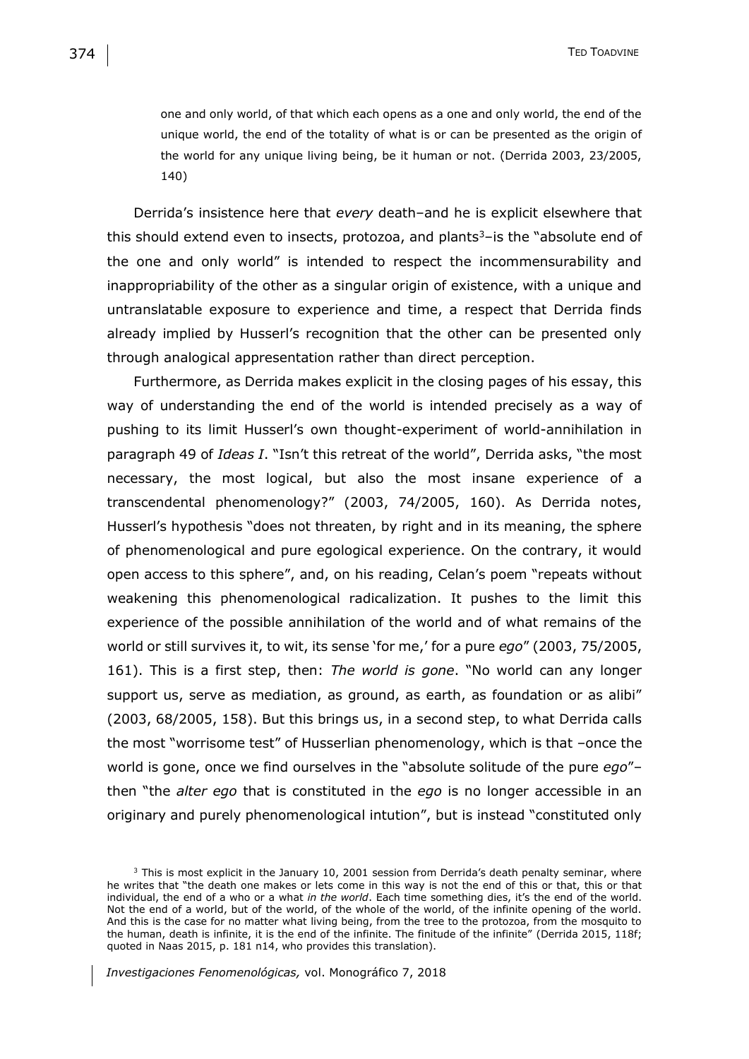one and only world, of that which each opens as a one and only world, the end of the unique world, the end of the totality of what is or can be presented as the origin of the world for any unique living being, be it human or not. (Derrida 2003, 23/2005, 140)

Derrida's insistence here that *every* death–and he is explicit elsewhere that this should extend even to insects, protozoa, and plants $3$ –is the "absolute end of the one and only world" is intended to respect the incommensurability and inappropriability of the other as a singular origin of existence, with a unique and untranslatable exposure to experience and time, a respect that Derrida finds already implied by Husserl's recognition that the other can be presented only through analogical appresentation rather than direct perception.

Furthermore, as Derrida makes explicit in the closing pages of his essay, this way of understanding the end of the world is intended precisely as a way of pushing to its limit Husserl's own thought-experiment of world-annihilation in paragraph 49 of *Ideas I*. "Isn't this retreat of the world", Derrida asks, "the most necessary, the most logical, but also the most insane experience of a transcendental phenomenology?" (2003, 74/2005, 160). As Derrida notes, Husserl's hypothesis "does not threaten, by right and in its meaning, the sphere of phenomenological and pure egological experience. On the contrary, it would open access to this sphere", and, on his reading, Celan's poem "repeats without weakening this phenomenological radicalization. It pushes to the limit this experience of the possible annihilation of the world and of what remains of the world or still survives it, to wit, its sense 'for me,' for a pure *ego*" (2003, 75/2005, 161). This is a first step, then: *The world is gone*. "No world can any longer support us, serve as mediation, as ground, as earth, as foundation or as alibi" (2003, 68/2005, 158). But this brings us, in a second step, to what Derrida calls the most "worrisome test" of Husserlian phenomenology, which is that –once the world is gone, once we find ourselves in the "absolute solitude of the pure *ego*"– then "the *alter ego* that is constituted in the *ego* is no longer accessible in an originary and purely phenomenological intution", but is instead "constituted only

<sup>&</sup>lt;sup>3</sup> This is most explicit in the January 10, 2001 session from Derrida's death penalty seminar, where he writes that "the death one makes or lets come in this way is not the end of this or that, this or that individual, the end of a who or a what *in the world*. Each time something dies, it's the end of the world. Not the end of a world, but of the world, of the whole of the world, of the infinite opening of the world. And this is the case for no matter what living being, from the tree to the protozoa, from the mosquito to the human, death is infinite, it is the end of the infinite. The finitude of the infinite" (Derrida 2015, 118f; quoted in Naas 2015, p. 181 n14, who provides this translation).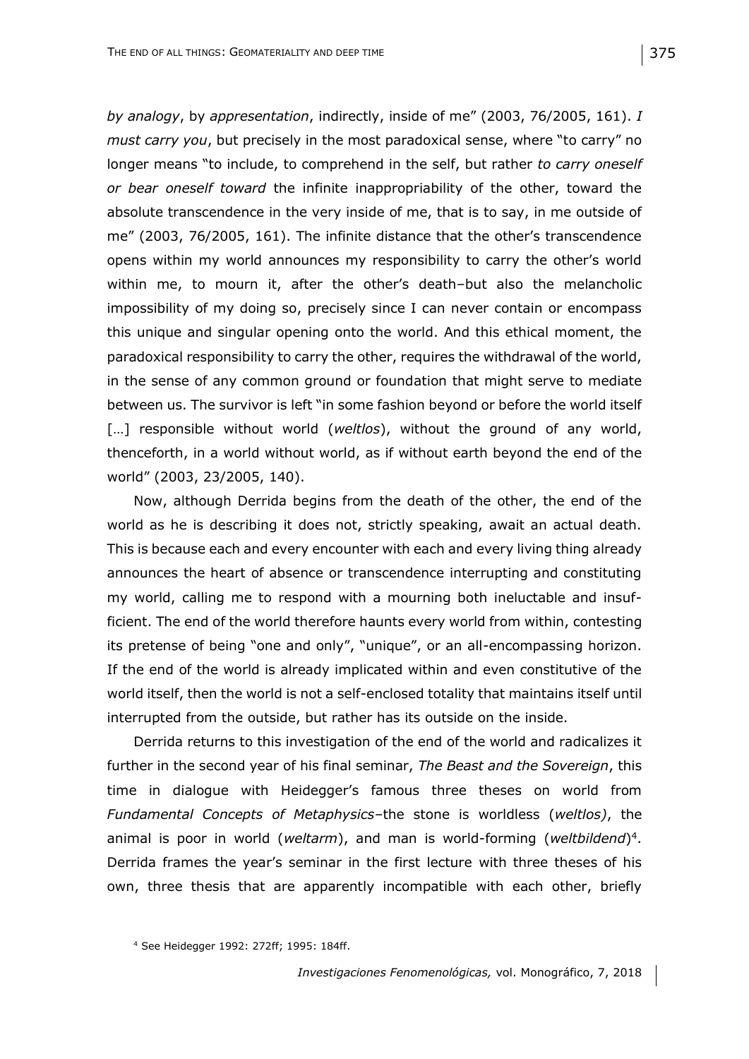*by analogy*, by *appresentation*, indirectly, inside of me" (2003, 76/2005, 161). *I must carry you*, but precisely in the most paradoxical sense, where "to carry" no longer means "to include, to comprehend in the self, but rather *to carry oneself or bear oneself toward* the infinite inappropriability of the other, toward the absolute transcendence in the very inside of me, that is to say, in me outside of me" (2003, 76/2005, 161). The infinite distance that the other's transcendence opens within my world announces my responsibility to carry the other's world within me, to mourn it, after the other's death–but also the melancholic impossibility of my doing so, precisely since I can never contain or encompass this unique and singular opening onto the world. And this ethical moment, the paradoxical responsibility to carry the other, requires the withdrawal of the world, in the sense of any common ground or foundation that might serve to mediate between us. The survivor is left "in some fashion beyond or before the world itself [...] responsible without world (*weltlos*), without the ground of any world, thenceforth, in a world without world, as if without earth beyond the end of the world" (2003, 23/2005, 140).

Now, although Derrida begins from the death of the other, the end of the world as he is describing it does not, strictly speaking, await an actual death. This is because each and every encounter with each and every living thing already announces the heart of absence or transcendence interrupting and constituting my world, calling me to respond with a mourning both ineluctable and insufficient. The end of the world therefore haunts every world from within, contesting its pretense of being "one and only", "unique", or an all-encompassing horizon. If the end of the world is already implicated within and even constitutive of the world itself, then the world is not a self-enclosed totality that maintains itself until interrupted from the outside, but rather has its outside on the inside.

Derrida returns to this investigation of the end of the world and radicalizes it further in the second year of his final seminar, *The Beast and the Sovereign*, this time in dialogue with Heidegger's famous three theses on world from *Fundamental Concepts of Metaphysics*–the stone is worldless (*weltlos)*, the animal is poor in world (*weltarm*), and man is world-forming (*weltbildend*) 4 . Derrida frames the year's seminar in the first lecture with three theses of his own, three thesis that are apparently incompatible with each other, briefly

<sup>4</sup> See Heidegger 1992: 272ff; 1995: 184ff.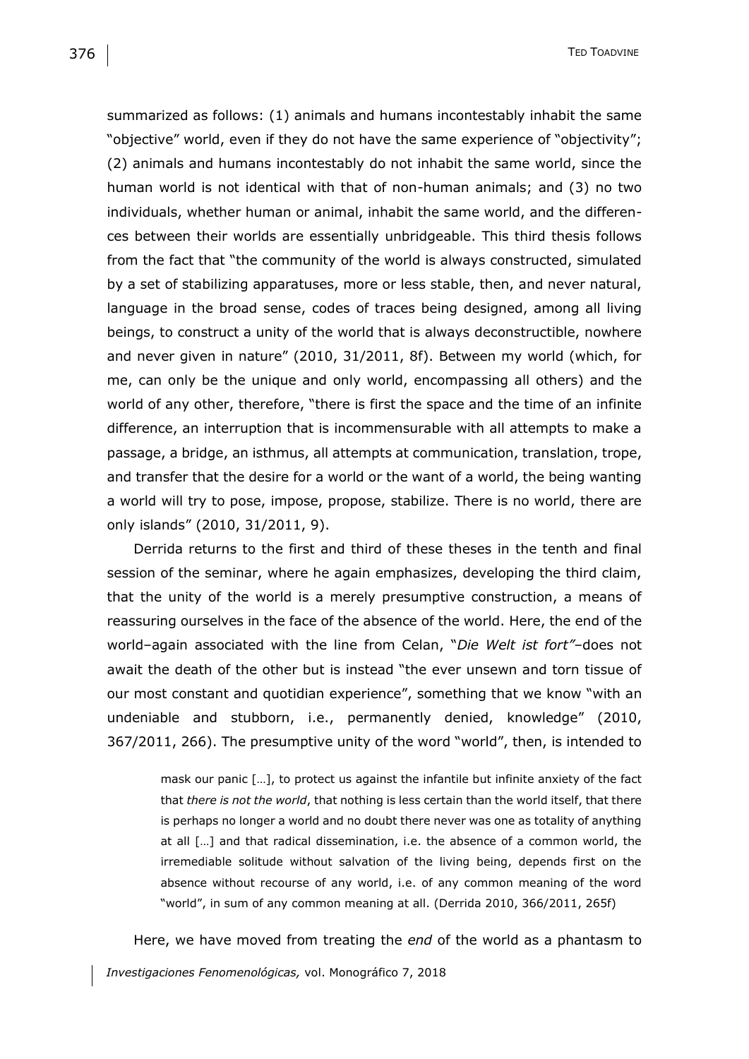summarized as follows: (1) animals and humans incontestably inhabit the same "objective" world, even if they do not have the same experience of "objectivity"; (2) animals and humans incontestably do not inhabit the same world, since the human world is not identical with that of non-human animals; and (3) no two individuals, whether human or animal, inhabit the same world, and the differences between their worlds are essentially unbridgeable. This third thesis follows from the fact that "the community of the world is always constructed, simulated by a set of stabilizing apparatuses, more or less stable, then, and never natural, language in the broad sense, codes of traces being designed, among all living beings, to construct a unity of the world that is always deconstructible, nowhere and never given in nature" (2010, 31/2011, 8f). Between my world (which, for me, can only be the unique and only world, encompassing all others) and the world of any other, therefore, "there is first the space and the time of an infinite difference, an interruption that is incommensurable with all attempts to make a passage, a bridge, an isthmus, all attempts at communication, translation, trope, and transfer that the desire for a world or the want of a world, the being wanting a world will try to pose, impose, propose, stabilize. There is no world, there are only islands" (2010, 31/2011, 9).

Derrida returns to the first and third of these theses in the tenth and final session of the seminar, where he again emphasizes, developing the third claim, that the unity of the world is a merely presumptive construction, a means of reassuring ourselves in the face of the absence of the world. Here, the end of the world–again associated with the line from Celan, "*Die Welt ist fort"*–does not await the death of the other but is instead "the ever unsewn and torn tissue of our most constant and quotidian experience", something that we know "with an undeniable and stubborn, i.e., permanently denied, knowledge" (2010, 367/2011, 266). The presumptive unity of the word "world", then, is intended to

mask our panic […], to protect us against the infantile but infinite anxiety of the fact that *there is not the world*, that nothing is less certain than the world itself, that there is perhaps no longer a world and no doubt there never was one as totality of anything at all […] and that radical dissemination, i.e. the absence of a common world, the irremediable solitude without salvation of the living being, depends first on the absence without recourse of any world, i.e. of any common meaning of the word "world", in sum of any common meaning at all. (Derrida 2010, 366/2011, 265f)

Here, we have moved from treating the *end* of the world as a phantasm to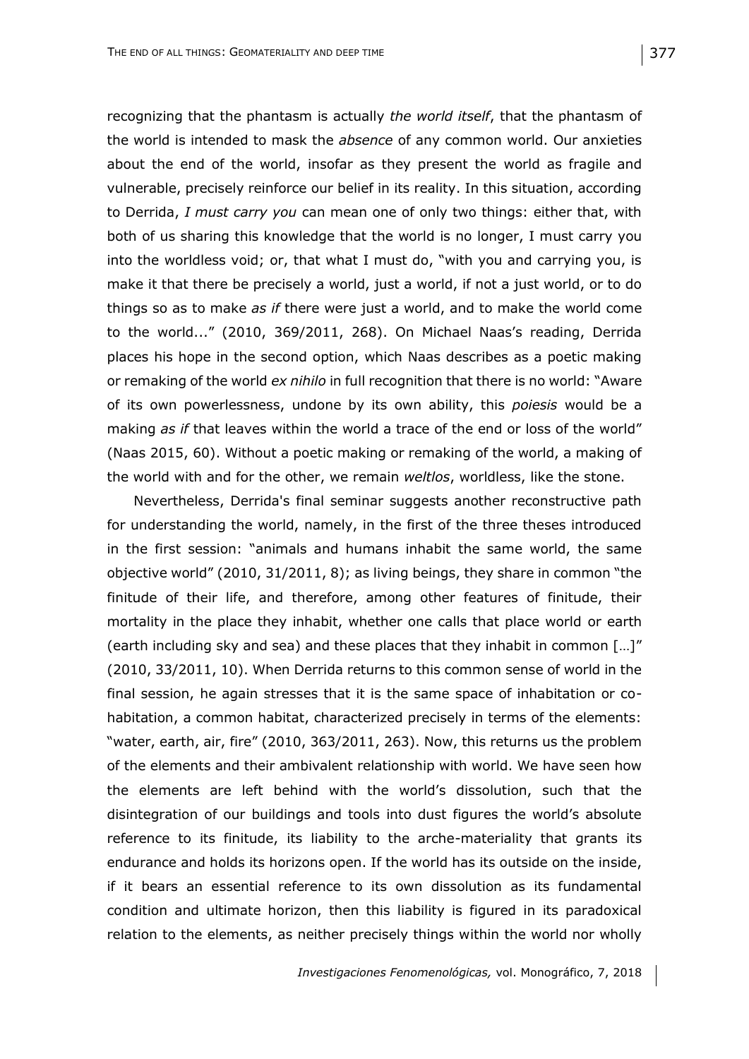recognizing that the phantasm is actually *the world itself*, that the phantasm of the world is intended to mask the *absence* of any common world. Our anxieties about the end of the world, insofar as they present the world as fragile and vulnerable, precisely reinforce our belief in its reality. In this situation, according to Derrida, *I must carry you* can mean one of only two things: either that, with both of us sharing this knowledge that the world is no longer, I must carry you into the worldless void; or, that what I must do, "with you and carrying you, is make it that there be precisely a world, just a world, if not a just world, or to do things so as to make *as if* there were just a world, and to make the world come to the world..." (2010, 369/2011, 268). On Michael Naas's reading, Derrida places his hope in the second option, which Naas describes as a poetic making or remaking of the world *ex nihilo* in full recognition that there is no world: "Aware of its own powerlessness, undone by its own ability, this *poiesis* would be a making *as if* that leaves within the world a trace of the end or loss of the world" (Naas 2015, 60). Without a poetic making or remaking of the world, a making of the world with and for the other, we remain *weltlos*, worldless, like the stone.

Nevertheless, Derrida's final seminar suggests another reconstructive path for understanding the world, namely, in the first of the three theses introduced in the first session: "animals and humans inhabit the same world, the same objective world" (2010, 31/2011, 8); as living beings, they share in common "the finitude of their life, and therefore, among other features of finitude, their mortality in the place they inhabit, whether one calls that place world or earth (earth including sky and sea) and these places that they inhabit in common […]" (2010, 33/2011, 10). When Derrida returns to this common sense of world in the final session, he again stresses that it is the same space of inhabitation or cohabitation, a common habitat, characterized precisely in terms of the elements: "water, earth, air, fire" (2010, 363/2011, 263). Now, this returns us the problem of the elements and their ambivalent relationship with world. We have seen how the elements are left behind with the world's dissolution, such that the disintegration of our buildings and tools into dust figures the world's absolute reference to its finitude, its liability to the arche-materiality that grants its endurance and holds its horizons open. If the world has its outside on the inside, if it bears an essential reference to its own dissolution as its fundamental condition and ultimate horizon, then this liability is figured in its paradoxical relation to the elements, as neither precisely things within the world nor wholly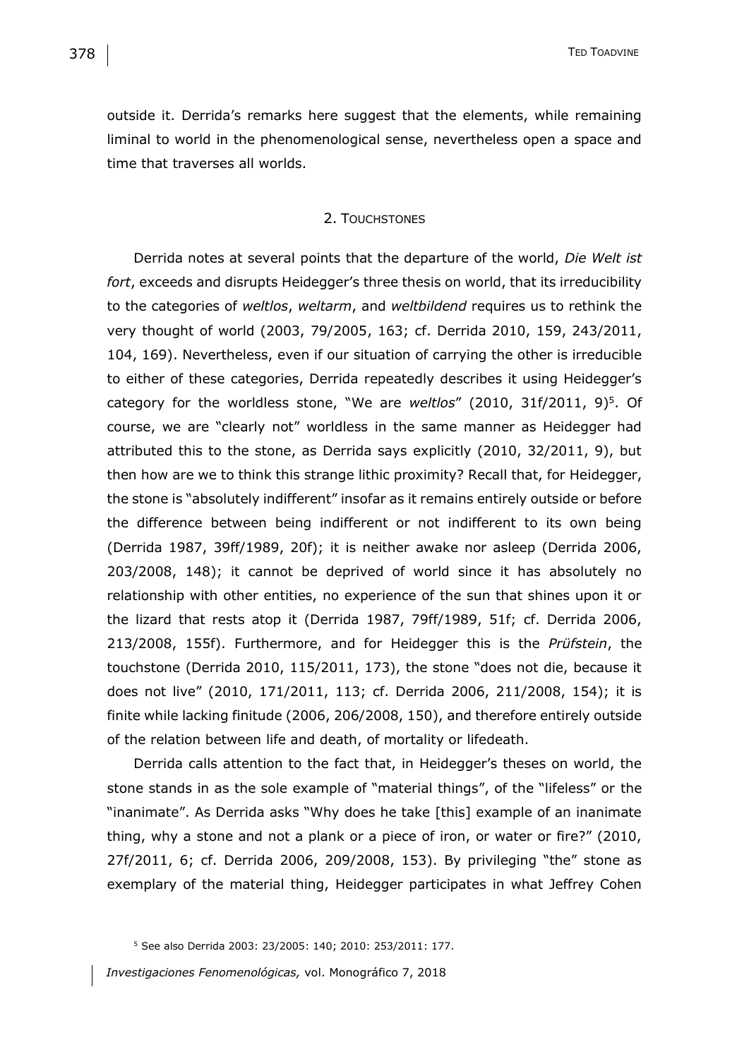outside it. Derrida's remarks here suggest that the elements, while remaining liminal to world in the phenomenological sense, nevertheless open a space and time that traverses all worlds.

### 2. TOUCHSTONES

Derrida notes at several points that the departure of the world, *Die Welt ist fort*, exceeds and disrupts Heidegger's three thesis on world, that its irreducibility to the categories of *weltlos*, *weltarm*, and *weltbildend* requires us to rethink the very thought of world (2003, 79/2005, 163; cf. Derrida 2010, 159, 243/2011, 104, 169). Nevertheless, even if our situation of carrying the other is irreducible to either of these categories, Derrida repeatedly describes it using Heidegger's category for the worldless stone, "We are *weltlos*" (2010, 31f/2011, 9)<sup>5</sup> . Of course, we are "clearly not" worldless in the same manner as Heidegger had attributed this to the stone, as Derrida says explicitly (2010, 32/2011, 9), but then how are we to think this strange lithic proximity? Recall that, for Heidegger, the stone is "absolutely indifferent" insofar as it remains entirely outside or before the difference between being indifferent or not indifferent to its own being (Derrida 1987, 39ff/1989, 20f); it is neither awake nor asleep (Derrida 2006, 203/2008, 148); it cannot be deprived of world since it has absolutely no relationship with other entities, no experience of the sun that shines upon it or the lizard that rests atop it (Derrida 1987, 79ff/1989, 51f; cf. Derrida 2006, 213/2008, 155f). Furthermore, and for Heidegger this is the *Prüfstein*, the touchstone (Derrida 2010, 115/2011, 173), the stone "does not die, because it does not live" (2010, 171/2011, 113; cf. Derrida 2006, 211/2008, 154); it is finite while lacking finitude (2006, 206/2008, 150), and therefore entirely outside of the relation between life and death, of mortality or lifedeath.

Derrida calls attention to the fact that, in Heidegger's theses on world, the stone stands in as the sole example of "material things", of the "lifeless" or the "inanimate". As Derrida asks "Why does he take [this] example of an inanimate thing, why a stone and not a plank or a piece of iron, or water or fire?" (2010, 27f/2011, 6; cf. Derrida 2006, 209/2008, 153). By privileging "the" stone as exemplary of the material thing, Heidegger participates in what Jeffrey Cohen

<sup>5</sup> See also Derrida 2003: 23/2005: 140; 2010: 253/2011: 177.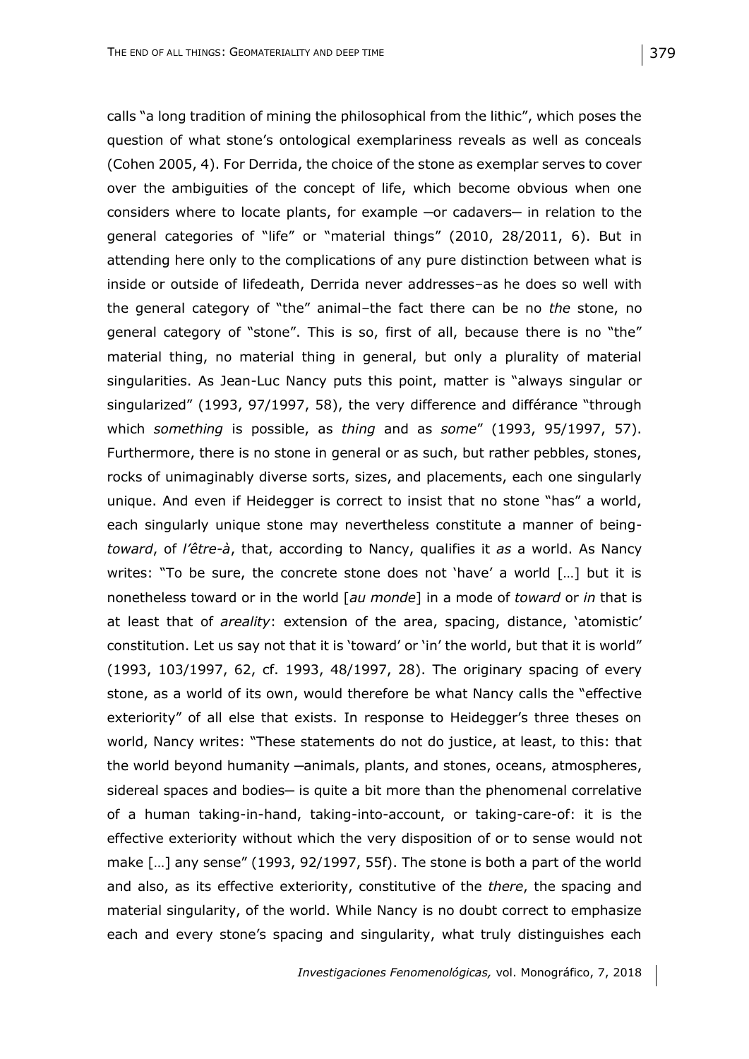calls "a long tradition of mining the philosophical from the lithic", which poses the question of what stone's ontological exemplariness reveals as well as conceals (Cohen 2005, 4). For Derrida, the choice of the stone as exemplar serves to cover over the ambiguities of the concept of life, which become obvious when one considers where to locate plants, for example -or cadavers- in relation to the general categories of "life" or "material things" (2010, 28/2011, 6). But in attending here only to the complications of any pure distinction between what is inside or outside of lifedeath, Derrida never addresses–as he does so well with the general category of "the" animal–the fact there can be no *the* stone, no general category of "stone". This is so, first of all, because there is no "the" material thing, no material thing in general, but only a plurality of material singularities. As Jean-Luc Nancy puts this point, matter is "always singular or singularized" (1993, 97/1997, 58), the very difference and différance "through which *something* is possible, as *thing* and as *some*" (1993, 95/1997, 57). Furthermore, there is no stone in general or as such, but rather pebbles, stones, rocks of unimaginably diverse sorts, sizes, and placements, each one singularly unique. And even if Heidegger is correct to insist that no stone "has" a world, each singularly unique stone may nevertheless constitute a manner of being*toward*, of *l'être-à*, that, according to Nancy, qualifies it *as* a world. As Nancy writes: "To be sure, the concrete stone does not 'have' a world [...] but it is nonetheless toward or in the world [*au monde*] in a mode of *toward* or *in* that is at least that of *areality*: extension of the area, spacing, distance, 'atomistic' constitution. Let us say not that it is 'toward' or 'in' the world, but that it is world" (1993, 103/1997, 62, cf. 1993, 48/1997, 28). The originary spacing of every stone, as a world of its own, would therefore be what Nancy calls the "effective exteriority" of all else that exists. In response to Heidegger's three theses on world, Nancy writes: "These statements do not do justice, at least, to this: that the world beyond humanity -animals, plants, and stones, oceans, atmospheres, sidereal spaces and bodies- is quite a bit more than the phenomenal correlative of a human taking-in-hand, taking-into-account, or taking-care-of: it is the effective exteriority without which the very disposition of or to sense would not make […] any sense" (1993, 92/1997, 55f). The stone is both a part of the world and also, as its effective exteriority, constitutive of the *there*, the spacing and material singularity, of the world. While Nancy is no doubt correct to emphasize each and every stone's spacing and singularity, what truly distinguishes each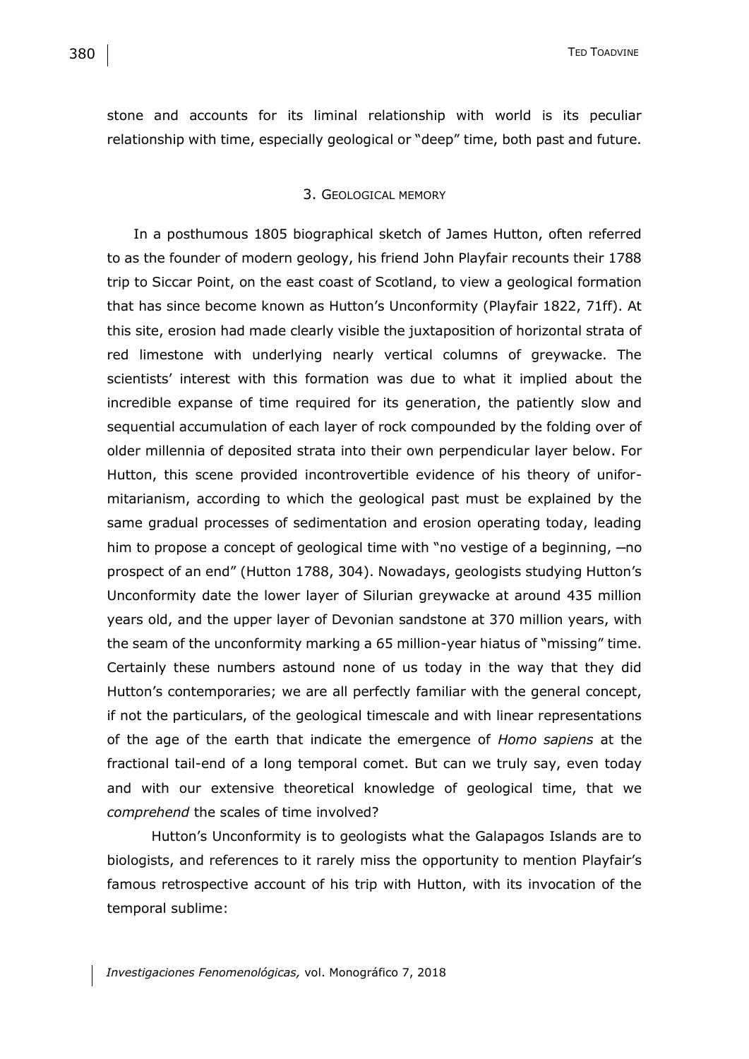stone and accounts for its liminal relationship with world is its peculiar relationship with time, especially geological or "deep" time, both past and future.

### 3. GEOLOGICAL MEMORY

In a posthumous 1805 biographical sketch of James Hutton, often referred to as the founder of modern geology, his friend John Playfair recounts their 1788 trip to Siccar Point, on the east coast of Scotland, to view a geological formation that has since become known as Hutton's Unconformity (Playfair 1822, 71ff). At this site, erosion had made clearly visible the juxtaposition of horizontal strata of red limestone with underlying nearly vertical columns of greywacke. The scientists' interest with this formation was due to what it implied about the incredible expanse of time required for its generation, the patiently slow and sequential accumulation of each layer of rock compounded by the folding over of older millennia of deposited strata into their own perpendicular layer below. For Hutton, this scene provided incontrovertible evidence of his theory of uniformitarianism, according to which the geological past must be explained by the same gradual processes of sedimentation and erosion operating today, leading him to propose a concept of geological time with "no vestige of a beginning,  $-n$ o prospect of an end" (Hutton 1788, 304). Nowadays, geologists studying Hutton's Unconformity date the lower layer of Silurian greywacke at around 435 million years old, and the upper layer of Devonian sandstone at 370 million years, with the seam of the unconformity marking a 65 million-year hiatus of "missing" time. Certainly these numbers astound none of us today in the way that they did Hutton's contemporaries; we are all perfectly familiar with the general concept, if not the particulars, of the geological timescale and with linear representations of the age of the earth that indicate the emergence of *Homo sapiens* at the fractional tail-end of a long temporal comet. But can we truly say, even today and with our extensive theoretical knowledge of geological time, that we *comprehend* the scales of time involved?

Hutton's Unconformity is to geologists what the Galapagos Islands are to biologists, and references to it rarely miss the opportunity to mention Playfair's famous retrospective account of his trip with Hutton, with its invocation of the temporal sublime: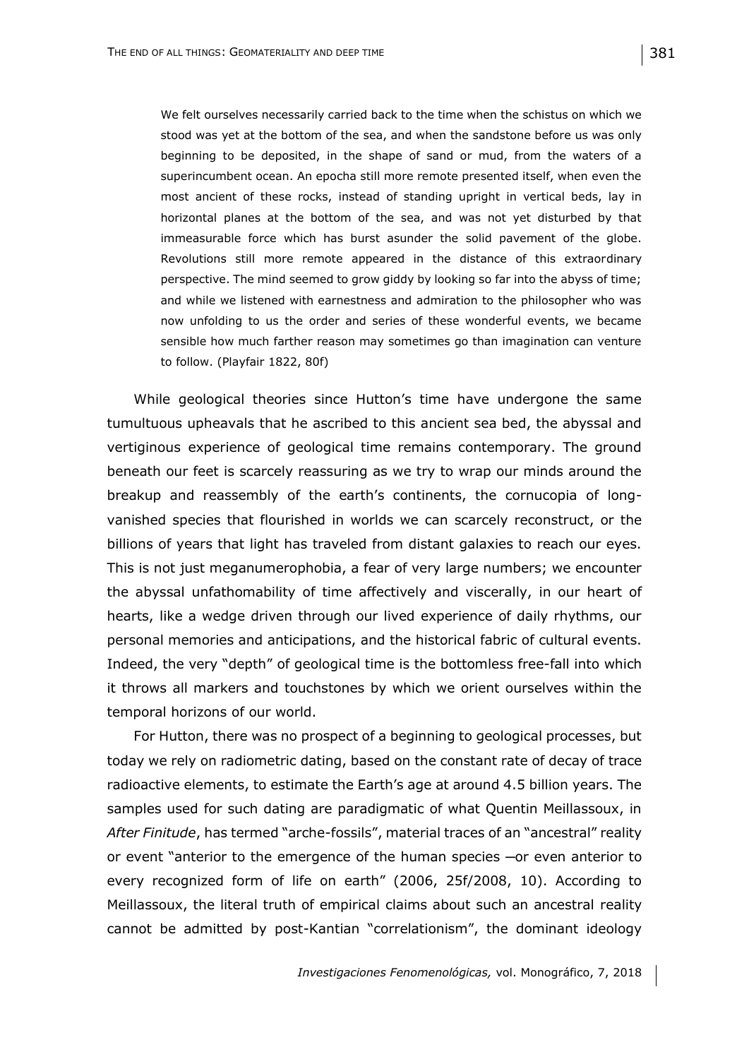We felt ourselves necessarily carried back to the time when the schistus on which we stood was yet at the bottom of the sea, and when the sandstone before us was only beginning to be deposited, in the shape of sand or mud, from the waters of a superincumbent ocean. An epocha still more remote presented itself, when even the most ancient of these rocks, instead of standing upright in vertical beds, lay in horizontal planes at the bottom of the sea, and was not yet disturbed by that immeasurable force which has burst asunder the solid pavement of the globe. Revolutions still more remote appeared in the distance of this extraordinary perspective. The mind seemed to grow giddy by looking so far into the abyss of time; and while we listened with earnestness and admiration to the philosopher who was now unfolding to us the order and series of these wonderful events, we became sensible how much farther reason may sometimes go than imagination can venture to follow. (Playfair 1822, 80f)

While geological theories since Hutton's time have undergone the same tumultuous upheavals that he ascribed to this ancient sea bed, the abyssal and vertiginous experience of geological time remains contemporary. The ground beneath our feet is scarcely reassuring as we try to wrap our minds around the breakup and reassembly of the earth's continents, the cornucopia of longvanished species that flourished in worlds we can scarcely reconstruct, or the billions of years that light has traveled from distant galaxies to reach our eyes. This is not just meganumerophobia, a fear of very large numbers; we encounter the abyssal unfathomability of time affectively and viscerally, in our heart of hearts, like a wedge driven through our lived experience of daily rhythms, our personal memories and anticipations, and the historical fabric of cultural events. Indeed, the very "depth" of geological time is the bottomless free-fall into which it throws all markers and touchstones by which we orient ourselves within the temporal horizons of our world.

For Hutton, there was no prospect of a beginning to geological processes, but today we rely on radiometric dating, based on the constant rate of decay of trace radioactive elements, to estimate the Earth's age at around 4.5 billion years. The samples used for such dating are paradigmatic of what Quentin Meillassoux, in *After Finitude*, has termed "arche-fossils", material traces of an "ancestral" reality or event "anterior to the emergence of the human species ─or even anterior to every recognized form of life on earth" (2006, 25f/2008, 10). According to Meillassoux, the literal truth of empirical claims about such an ancestral reality cannot be admitted by post-Kantian "correlationism", the dominant ideology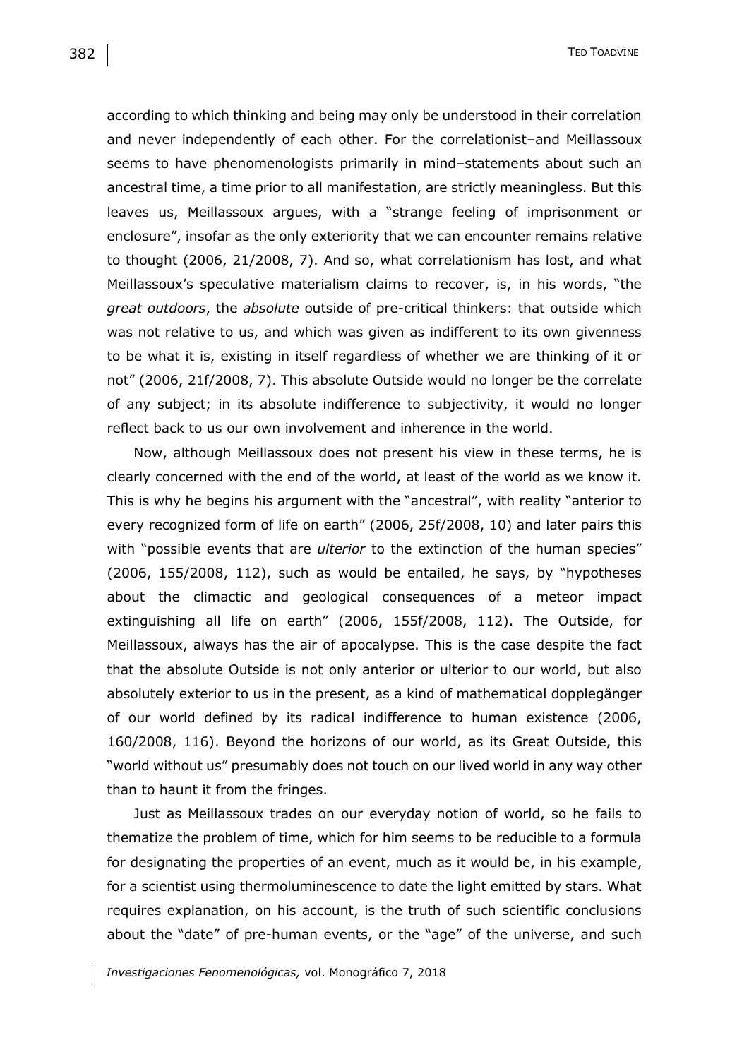according to which thinking and being may only be understood in their correlation and never independently of each other. For the correlationist–and Meillassoux seems to have phenomenologists primarily in mind–statements about such an ancestral time, a time prior to all manifestation, are strictly meaningless. But this leaves us, Meillassoux argues, with a "strange feeling of imprisonment or enclosure", insofar as the only exteriority that we can encounter remains relative to thought (2006, 21/2008, 7). And so, what correlationism has lost, and what Meillassoux's speculative materialism claims to recover, is, in his words, "the *great outdoors*, the *absolute* outside of pre-critical thinkers: that outside which was not relative to us, and which was given as indifferent to its own givenness to be what it is, existing in itself regardless of whether we are thinking of it or not" (2006, 21f/2008, 7). This absolute Outside would no longer be the correlate of any subject; in its absolute indifference to subjectivity, it would no longer reflect back to us our own involvement and inherence in the world.

Now, although Meillassoux does not present his view in these terms, he is clearly concerned with the end of the world, at least of the world as we know it. This is why he begins his argument with the "ancestral", with reality "anterior to every recognized form of life on earth" (2006, 25f/2008, 10) and later pairs this with "possible events that are *ulterior* to the extinction of the human species" (2006, 155/2008, 112), such as would be entailed, he says, by "hypotheses about the climactic and geological consequences of a meteor impact extinguishing all life on earth" (2006, 155f/2008, 112). The Outside, for Meillassoux, always has the air of apocalypse. This is the case despite the fact that the absolute Outside is not only anterior or ulterior to our world, but also absolutely exterior to us in the present, as a kind of mathematical dopplegänger of our world defined by its radical indifference to human existence (2006, 160/2008, 116). Beyond the horizons of our world, as its Great Outside, this "world without us" presumably does not touch on our lived world in any way other than to haunt it from the fringes.

Just as Meillassoux trades on our everyday notion of world, so he fails to thematize the problem of time, which for him seems to be reducible to a formula for designating the properties of an event, much as it would be, in his example, for a scientist using thermoluminescence to date the light emitted by stars. What requires explanation, on his account, is the truth of such scientific conclusions about the "date" of pre-human events, or the "age" of the universe, and such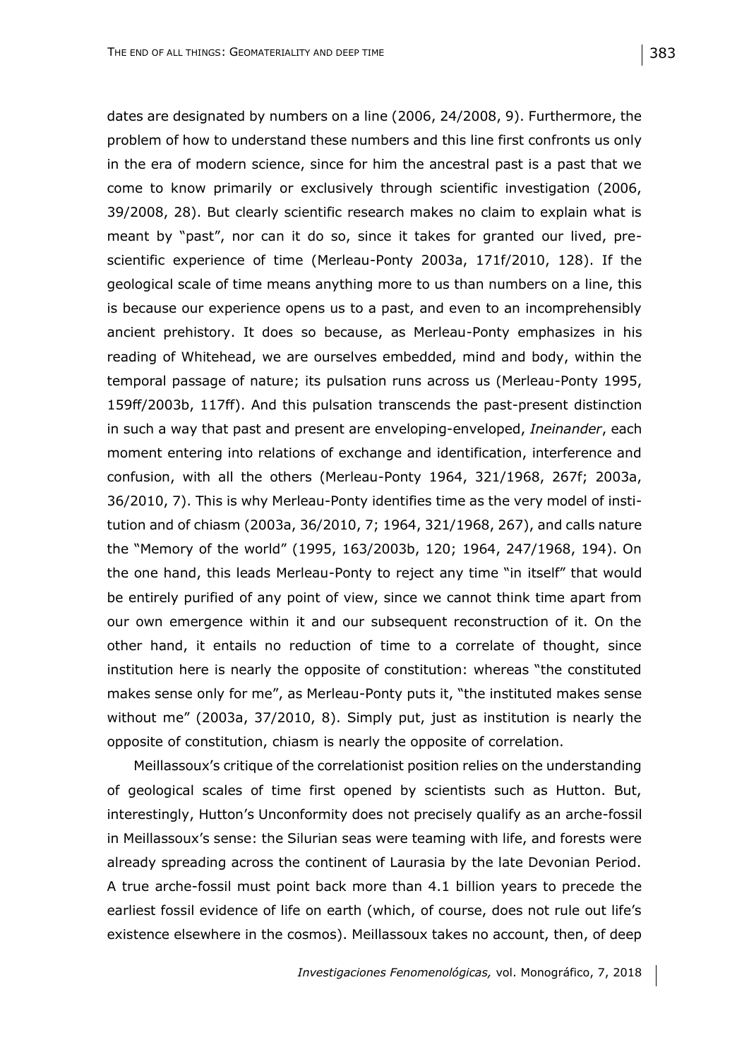dates are designated by numbers on a line (2006, 24/2008, 9). Furthermore, the problem of how to understand these numbers and this line first confronts us only in the era of modern science, since for him the ancestral past is a past that we come to know primarily or exclusively through scientific investigation (2006, 39/2008, 28). But clearly scientific research makes no claim to explain what is meant by "past", nor can it do so, since it takes for granted our lived, prescientific experience of time (Merleau-Ponty 2003a, 171f/2010, 128). If the geological scale of time means anything more to us than numbers on a line, this is because our experience opens us to a past, and even to an incomprehensibly ancient prehistory. It does so because, as Merleau-Ponty emphasizes in his reading of Whitehead, we are ourselves embedded, mind and body, within the temporal passage of nature; its pulsation runs across us (Merleau-Ponty 1995, 159ff/2003b, 117ff). And this pulsation transcends the past-present distinction in such a way that past and present are enveloping-enveloped, *Ineinander*, each moment entering into relations of exchange and identification, interference and confusion, with all the others (Merleau-Ponty 1964, 321/1968, 267f; 2003a, 36/2010, 7). This is why Merleau-Ponty identifies time as the very model of institution and of chiasm (2003a, 36/2010, 7; 1964, 321/1968, 267), and calls nature the "Memory of the world" (1995, 163/2003b, 120; 1964, 247/1968, 194). On the one hand, this leads Merleau-Ponty to reject any time "in itself" that would be entirely purified of any point of view, since we cannot think time apart from our own emergence within it and our subsequent reconstruction of it. On the other hand, it entails no reduction of time to a correlate of thought, since institution here is nearly the opposite of constitution: whereas "the constituted makes sense only for me", as Merleau-Ponty puts it, "the instituted makes sense without me" (2003a, 37/2010, 8). Simply put, just as institution is nearly the opposite of constitution, chiasm is nearly the opposite of correlation.

Meillassoux's critique of the correlationist position relies on the understanding of geological scales of time first opened by scientists such as Hutton. But, interestingly, Hutton's Unconformity does not precisely qualify as an arche-fossil in Meillassoux's sense: the Silurian seas were teaming with life, and forests were already spreading across the continent of Laurasia by the late Devonian Period. A true arche-fossil must point back more than 4.1 billion years to precede the earliest fossil evidence of life on earth (which, of course, does not rule out life's existence elsewhere in the cosmos). Meillassoux takes no account, then, of deep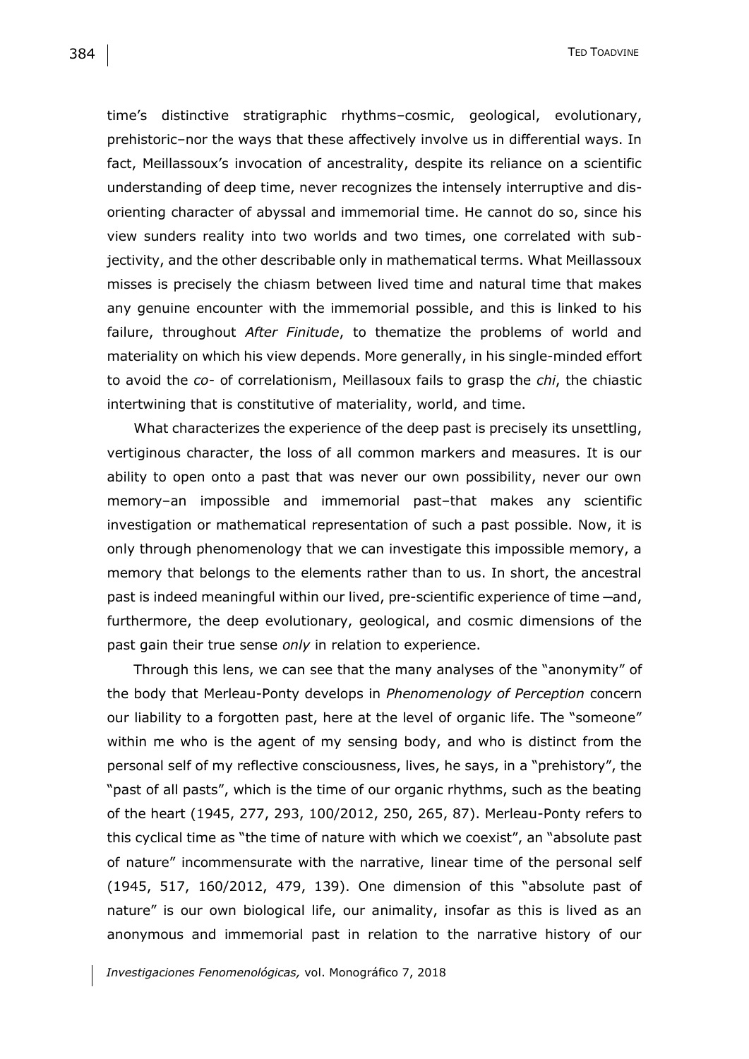time's distinctive stratigraphic rhythms–cosmic, geological, evolutionary, prehistoric–nor the ways that these affectively involve us in differential ways. In fact, Meillassoux's invocation of ancestrality, despite its reliance on a scientific understanding of deep time, never recognizes the intensely interruptive and disorienting character of abyssal and immemorial time. He cannot do so, since his view sunders reality into two worlds and two times, one correlated with subjectivity, and the other describable only in mathematical terms. What Meillassoux misses is precisely the chiasm between lived time and natural time that makes any genuine encounter with the immemorial possible, and this is linked to his failure, throughout *After Finitude*, to thematize the problems of world and materiality on which his view depends. More generally, in his single-minded effort to avoid the *co-* of correlationism, Meillasoux fails to grasp the *chi*, the chiastic intertwining that is constitutive of materiality, world, and time.

What characterizes the experience of the deep past is precisely its unsettling, vertiginous character, the loss of all common markers and measures. It is our ability to open onto a past that was never our own possibility, never our own memory–an impossible and immemorial past–that makes any scientific investigation or mathematical representation of such a past possible. Now, it is only through phenomenology that we can investigate this impossible memory, a memory that belongs to the elements rather than to us. In short, the ancestral past is indeed meaningful within our lived, pre-scientific experience of time -and, furthermore, the deep evolutionary, geological, and cosmic dimensions of the past gain their true sense *only* in relation to experience.

Through this lens, we can see that the many analyses of the "anonymity" of the body that Merleau-Ponty develops in *Phenomenology of Perception* concern our liability to a forgotten past, here at the level of organic life. The "someone" within me who is the agent of my sensing body, and who is distinct from the personal self of my reflective consciousness, lives, he says, in a "prehistory", the "past of all pasts", which is the time of our organic rhythms, such as the beating of the heart (1945, 277, 293, 100/2012, 250, 265, 87). Merleau-Ponty refers to this cyclical time as "the time of nature with which we coexist", an "absolute past of nature" incommensurate with the narrative, linear time of the personal self (1945, 517, 160/2012, 479, 139). One dimension of this "absolute past of nature" is our own biological life, our animality, insofar as this is lived as an anonymous and immemorial past in relation to the narrative history of our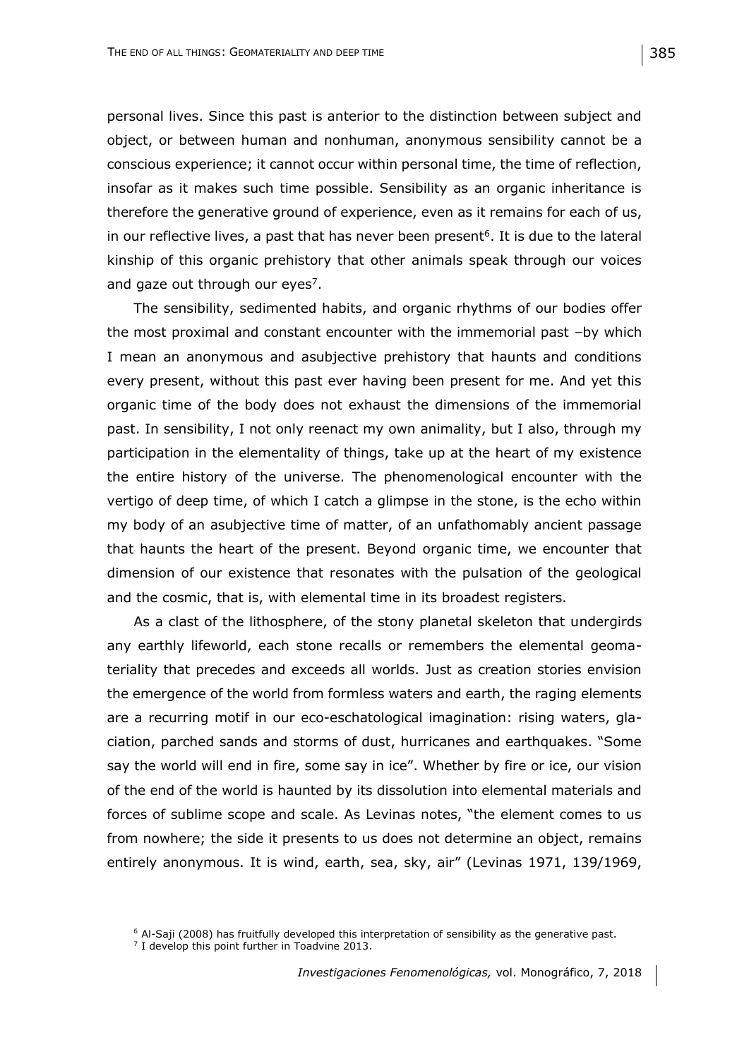personal lives. Since this past is anterior to the distinction between subject and object, or between human and nonhuman, anonymous sensibility cannot be a conscious experience; it cannot occur within personal time, the time of reflection, insofar as it makes such time possible. Sensibility as an organic inheritance is therefore the generative ground of experience, even as it remains for each of us, in our reflective lives, a past that has never been present<sup>6</sup>. It is due to the lateral kinship of this organic prehistory that other animals speak through our voices and gaze out through our eyes<sup>7</sup>.

The sensibility, sedimented habits, and organic rhythms of our bodies offer the most proximal and constant encounter with the immemorial past –by which I mean an anonymous and asubjective prehistory that haunts and conditions every present, without this past ever having been present for me. And yet this organic time of the body does not exhaust the dimensions of the immemorial past. In sensibility, I not only reenact my own animality, but I also, through my participation in the elementality of things, take up at the heart of my existence the entire history of the universe. The phenomenological encounter with the vertigo of deep time, of which I catch a glimpse in the stone, is the echo within my body of an asubjective time of matter, of an unfathomably ancient passage that haunts the heart of the present. Beyond organic time, we encounter that dimension of our existence that resonates with the pulsation of the geological and the cosmic, that is, with elemental time in its broadest registers.

As a clast of the lithosphere, of the stony planetal skeleton that undergirds any earthly lifeworld, each stone recalls or remembers the elemental geomateriality that precedes and exceeds all worlds. Just as creation stories envision the emergence of the world from formless waters and earth, the raging elements are a recurring motif in our eco-eschatological imagination: rising waters, glaciation, parched sands and storms of dust, hurricanes and earthquakes. "Some say the world will end in fire, some say in ice". Whether by fire or ice, our vision of the end of the world is haunted by its dissolution into elemental materials and forces of sublime scope and scale. As Levinas notes, "the element comes to us from nowhere; the side it presents to us does not determine an object, remains entirely anonymous. It is wind, earth, sea, sky, air" (Levinas 1971, 139/1969,

<sup>&</sup>lt;sup>6</sup> Al-Saii (2008) has fruitfully developed this interpretation of sensibility as the generative past.

 $7$  I develop this point further in Toadvine 2013.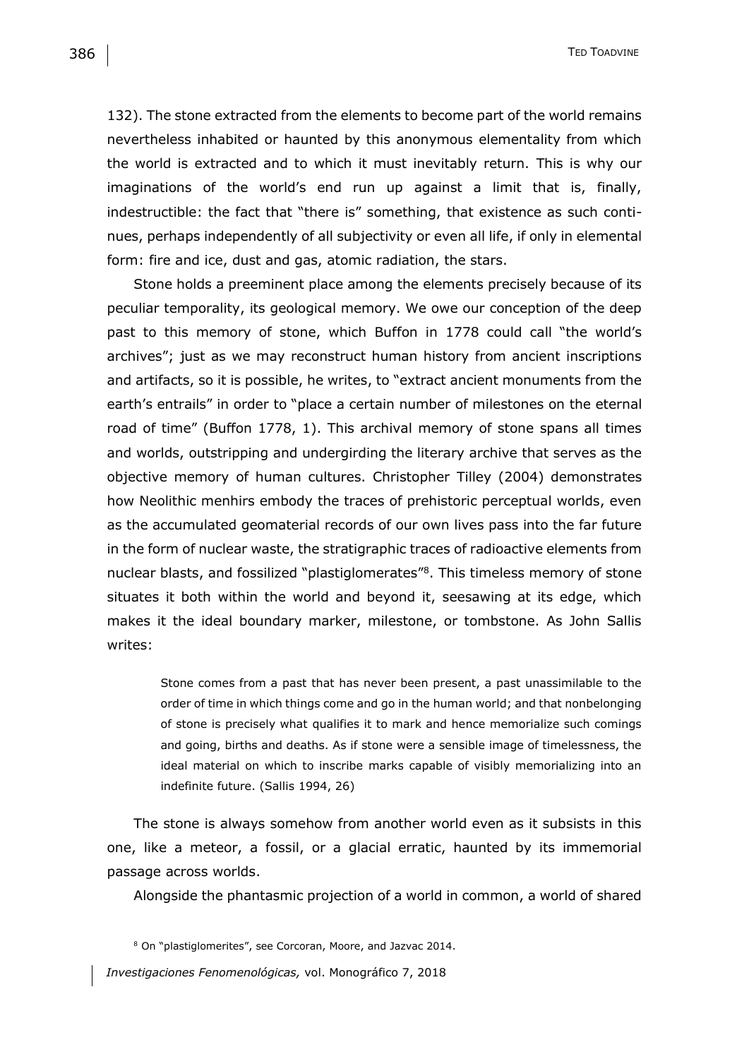132). The stone extracted from the elements to become part of the world remains nevertheless inhabited or haunted by this anonymous elementality from which the world is extracted and to which it must inevitably return. This is why our imaginations of the world's end run up against a limit that is, finally, indestructible: the fact that "there is" something, that existence as such continues, perhaps independently of all subjectivity or even all life, if only in elemental form: fire and ice, dust and gas, atomic radiation, the stars.

Stone holds a preeminent place among the elements precisely because of its peculiar temporality, its geological memory. We owe our conception of the deep past to this memory of stone, which Buffon in 1778 could call "the world's archives"; just as we may reconstruct human history from ancient inscriptions and artifacts, so it is possible, he writes, to "extract ancient monuments from the earth's entrails" in order to "place a certain number of milestones on the eternal road of time" (Buffon 1778, 1). This archival memory of stone spans all times and worlds, outstripping and undergirding the literary archive that serves as the objective memory of human cultures. Christopher Tilley (2004) demonstrates how Neolithic menhirs embody the traces of prehistoric perceptual worlds, even as the accumulated geomaterial records of our own lives pass into the far future in the form of nuclear waste, the stratigraphic traces of radioactive elements from nuclear blasts, and fossilized "plastiglomerates"<sup>8</sup>. This timeless memory of stone situates it both within the world and beyond it, seesawing at its edge, which makes it the ideal boundary marker, milestone, or tombstone. As John Sallis writes:

Stone comes from a past that has never been present, a past unassimilable to the order of time in which things come and go in the human world; and that nonbelonging of stone is precisely what qualifies it to mark and hence memorialize such comings and going, births and deaths. As if stone were a sensible image of timelessness, the ideal material on which to inscribe marks capable of visibly memorializing into an indefinite future. (Sallis 1994, 26)

The stone is always somehow from another world even as it subsists in this one, like a meteor, a fossil, or a glacial erratic, haunted by its immemorial passage across worlds.

Alongside the phantasmic projection of a world in common, a world of shared

<sup>8</sup> On "plastiglomerites", see Corcoran, Moore, and Jazvac 2014.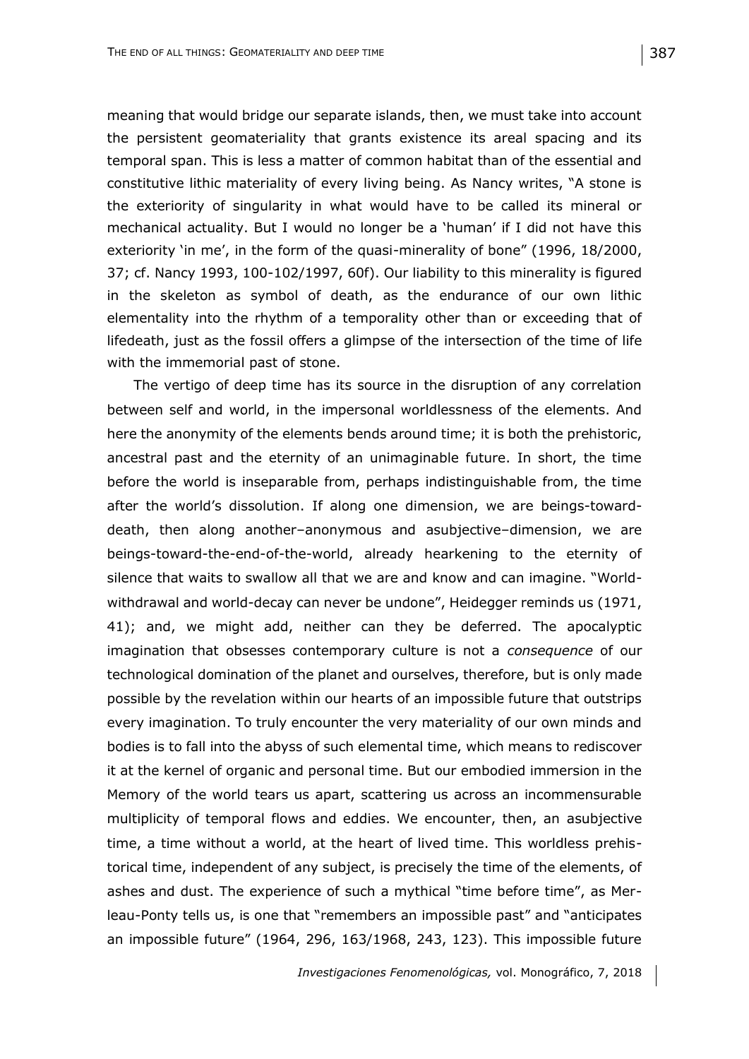meaning that would bridge our separate islands, then, we must take into account the persistent geomateriality that grants existence its areal spacing and its temporal span. This is less a matter of common habitat than of the essential and constitutive lithic materiality of every living being. As Nancy writes, "A stone is the exteriority of singularity in what would have to be called its mineral or mechanical actuality. But I would no longer be a 'human' if I did not have this exteriority 'in me', in the form of the quasi-minerality of bone" (1996, 18/2000, 37; cf. Nancy 1993, 100-102/1997, 60f). Our liability to this minerality is figured in the skeleton as symbol of death, as the endurance of our own lithic elementality into the rhythm of a temporality other than or exceeding that of lifedeath, just as the fossil offers a glimpse of the intersection of the time of life with the immemorial past of stone.

The vertigo of deep time has its source in the disruption of any correlation between self and world, in the impersonal worldlessness of the elements. And here the anonymity of the elements bends around time; it is both the prehistoric, ancestral past and the eternity of an unimaginable future. In short, the time before the world is inseparable from, perhaps indistinguishable from, the time after the world's dissolution. If along one dimension, we are beings-towarddeath, then along another–anonymous and asubjective–dimension, we are beings-toward-the-end-of-the-world, already hearkening to the eternity of silence that waits to swallow all that we are and know and can imagine. "Worldwithdrawal and world-decay can never be undone", Heidegger reminds us (1971, 41); and, we might add, neither can they be deferred. The apocalyptic imagination that obsesses contemporary culture is not a *consequence* of our technological domination of the planet and ourselves, therefore, but is only made possible by the revelation within our hearts of an impossible future that outstrips every imagination. To truly encounter the very materiality of our own minds and bodies is to fall into the abyss of such elemental time, which means to rediscover it at the kernel of organic and personal time. But our embodied immersion in the Memory of the world tears us apart, scattering us across an incommensurable multiplicity of temporal flows and eddies. We encounter, then, an asubjective time, a time without a world, at the heart of lived time. This worldless prehistorical time, independent of any subject, is precisely the time of the elements, of ashes and dust. The experience of such a mythical "time before time", as Merleau-Ponty tells us, is one that "remembers an impossible past" and "anticipates an impossible future" (1964, 296, 163/1968, 243, 123). This impossible future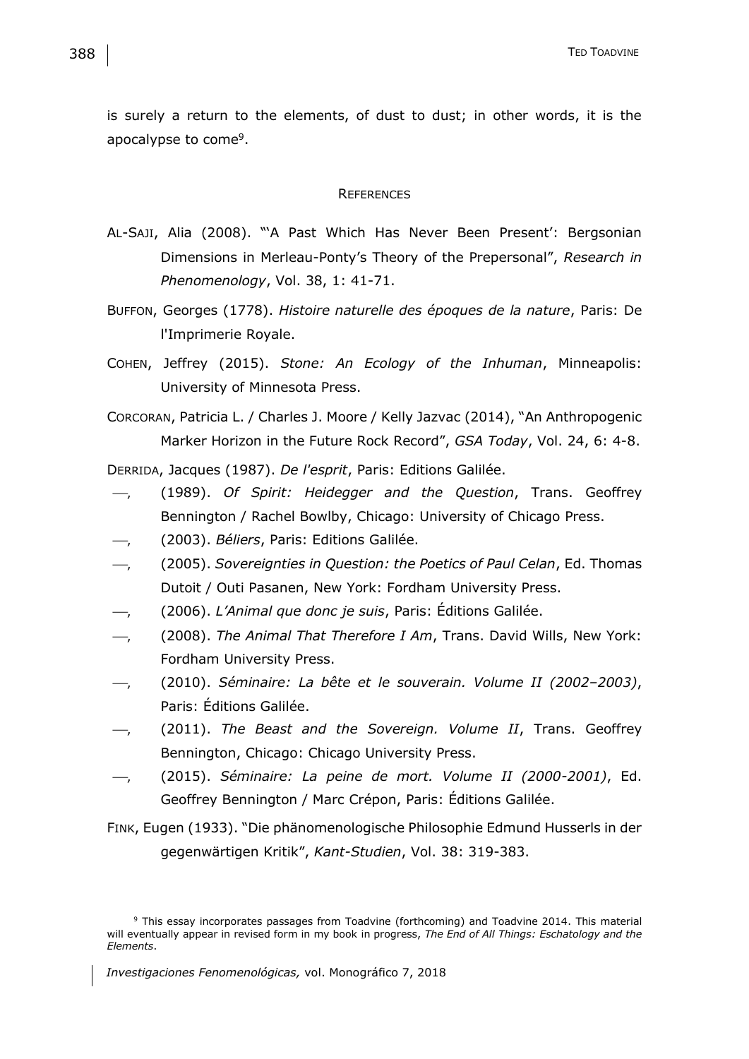is surely a return to the elements, of dust to dust; in other words, it is the apocalypse to come<sup>9</sup>.

#### **REFERENCES**

- AL-SAJI, Alia (2008). "'A Past Which Has Never Been Present': Bergsonian Dimensions in Merleau-Ponty's Theory of the Prepersonal", *Research in Phenomenology*, Vol. 38, 1: 41-71.
- BUFFON, Georges (1778). *Histoire naturelle des époques de la nature*, Paris: De l'Imprimerie Royale.
- COHEN, Jeffrey (2015). *Stone: An Ecology of the Inhuman*, Minneapolis: University of Minnesota Press.
- CORCORAN, Patricia L. / Charles J. Moore / Kelly Jazvac (2014), "An Anthropogenic Marker Horizon in the Future Rock Record", *GSA Today*, Vol. 24, 6: 4-8.

DERRIDA, Jacques (1987). *De l'esprit*, Paris: Editions Galilée.

- , (1989). *Of Spirit: Heidegger and the Question*, Trans. Geoffrey Bennington / Rachel Bowlby, Chicago: University of Chicago Press.
- , (2003). *Béliers*, Paris: Editions Galilée.
- , (2005). *Sovereignties in Question: the Poetics of Paul Celan*, Ed. Thomas Dutoit / Outi Pasanen, New York: Fordham University Press.
- , (2006). *L'Animal que donc je suis*, Paris: Éditions Galilée.
- , (2008). *The Animal That Therefore I Am*, Trans. David Wills, New York: Fordham University Press.
- , (2010). *Séminaire: La bête et le souverain. Volume II (2002–2003)*, Paris: Éditions Galilée.
- , (2011). *The Beast and the Sovereign. Volume II*, Trans. Geoffrey Bennington, Chicago: Chicago University Press.
- , (2015). *Séminaire: La peine de mort. Volume II (2000-2001)*, Ed. Geoffrey Bennington / Marc Crépon, Paris: Éditions Galilée.

FINK, Eugen (1933). "Die phänomenologische Philosophie Edmund Husserls in der gegenwärtigen Kritik", *Kant-Studien*, Vol. 38: 319-383.

<sup>9</sup> This essay incorporates passages from Toadvine (forthcoming) and Toadvine 2014. This material will eventually appear in revised form in my book in progress, *The End of All Things: Eschatology and the Elements*.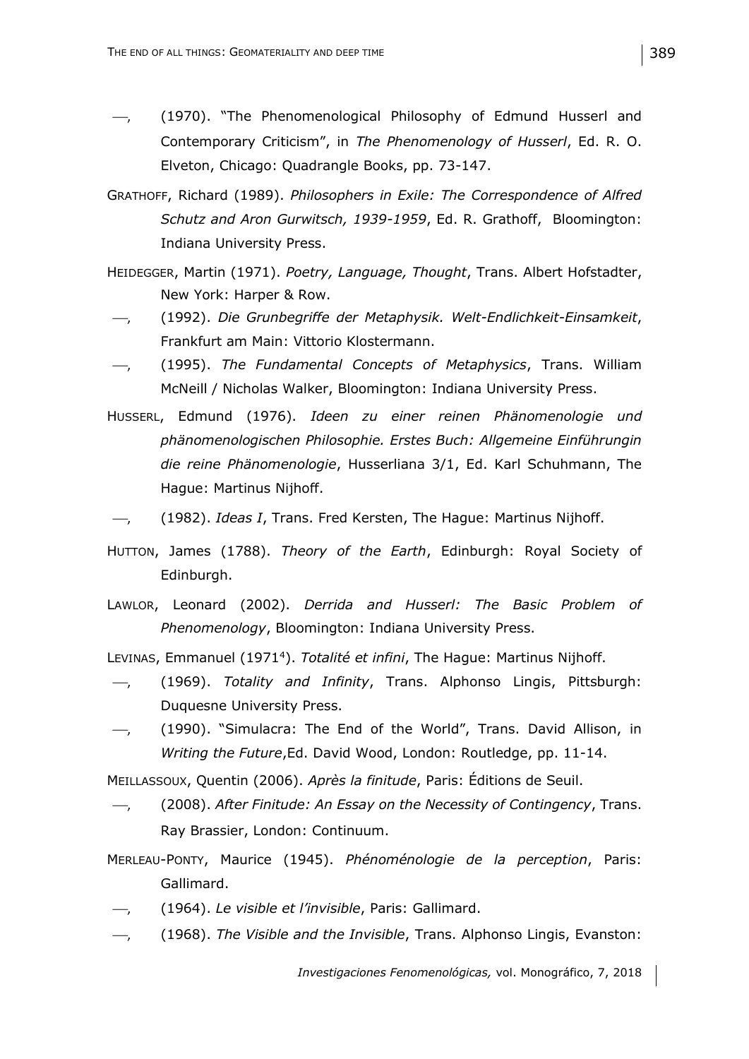- $-$ , (1970). "The Phenomenological Philosophy of Edmund Husserl and Contemporary Criticism", in *The Phenomenology of Husserl*, Ed. R. O. Elveton, Chicago: Quadrangle Books, pp. 73-147.
- GRATHOFF, Richard (1989). *Philosophers in Exile: The Correspondence of Alfred Schutz and Aron Gurwitsch, 1939-1959*, Ed. R. Grathoff, Bloomington: Indiana University Press.
- HEIDEGGER, Martin (1971). *Poetry, Language, Thought*, Trans. Albert Hofstadter, New York: Harper & Row.
- , (1992). *Die Grunbegriffe der Metaphysik. Welt-Endlichkeit-Einsamkeit*, Frankfurt am Main: Vittorio Klostermann.
- , (1995). *The Fundamental Concepts of Metaphysics*, Trans. William McNeill / Nicholas Walker, Bloomington: Indiana University Press.
- HUSSERL, Edmund (1976). *Ideen zu einer reinen Phänomenologie und phänomenologischen Philosophie. Erstes Buch: Allgemeine Einführungin die reine Phänomenologie*, Husserliana 3/1, Ed. Karl Schuhmann, The Hague: Martinus Nijhoff.
- , (1982). *Ideas I*, Trans. Fred Kersten, The Hague: Martinus Nijhoff.
- HUTTON, James (1788). *Theory of the Earth*, Edinburgh: Royal Society of Edinburgh.
- LAWLOR, Leonard (2002). *Derrida and Husserl: The Basic Problem of Phenomenology*, Bloomington: Indiana University Press.

LEVINAS, Emmanuel (1971<sup>4</sup>). *Totalité et infini*, The Hague: Martinus Nijhoff.

- , (1969). *Totality and Infinity*, Trans. Alphonso Lingis, Pittsburgh: Duquesne University Press.
- , (1990). "Simulacra: The End of the World", Trans. David Allison, in *Writing the Future*,Ed. David Wood, London: Routledge, pp. 11-14.

MEILLASSOUX, Quentin (2006). *Après la finitude*, Paris: Éditions de Seuil.

- , (2008). *After Finitude: An Essay on the Necessity of Contingency*, Trans. Ray Brassier, London: Continuum.
- MERLEAU-PONTY, Maurice (1945). *Phénoménologie de la perception*, Paris: Gallimard.
- , (1964). *Le visible et l'invisible*, Paris: Gallimard.
- , (1968). *The Visible and the Invisible*, Trans. Alphonso Lingis, Evanston: